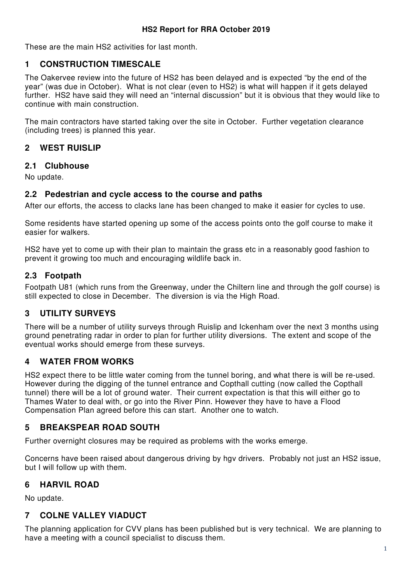These are the main HS2 activities for last month.

## **1 CONSTRUCTION TIMESCALE**

The Oakervee review into the future of HS2 has been delayed and is expected "by the end of the year" (was due in October). What is not clear (even to HS2) is what will happen if it gets delayed further. HS2 have said they will need an "internal discussion" but it is obvious that they would like to continue with main construction.

The main contractors have started taking over the site in October. Further vegetation clearance (including trees) is planned this year.

### **2 WEST RUISLIP**

#### **2.1 Clubhouse**

No update.

#### **2.2 Pedestrian and cycle access to the course and paths**

After our efforts, the access to clacks lane has been changed to make it easier for cycles to use.

Some residents have started opening up some of the access points onto the golf course to make it easier for walkers.

HS2 have yet to come up with their plan to maintain the grass etc in a reasonably good fashion to prevent it growing too much and encouraging wildlife back in.

### **2.3 Footpath**

Footpath U81 (which runs from the Greenway, under the Chiltern line and through the golf course) is still expected to close in December. The diversion is via the High Road.

## **3 UTILITY SURVEYS**

There will be a number of utility surveys through Ruislip and Ickenham over the next 3 months using ground penetrating radar in order to plan for further utility diversions. The extent and scope of the eventual works should emerge from these surveys.

## **4 WATER FROM WORKS**

HS2 expect there to be little water coming from the tunnel boring, and what there is will be re-used. However during the digging of the tunnel entrance and Copthall cutting (now called the Copthall tunnel) there will be a lot of ground water. Their current expectation is that this will either go to Thames Water to deal with, or go into the River Pinn. However they have to have a Flood Compensation Plan agreed before this can start. Another one to watch.

## **5 BREAKSPEAR ROAD SOUTH**

Further overnight closures may be required as problems with the works emerge.

Concerns have been raised about dangerous driving by hgv drivers. Probably not just an HS2 issue, but I will follow up with them.

## **6 HARVIL ROAD**

No update.

## **7 COLNE VALLEY VIADUCT**

The planning application for CVV plans has been published but is very technical. We are planning to have a meeting with a council specialist to discuss them.